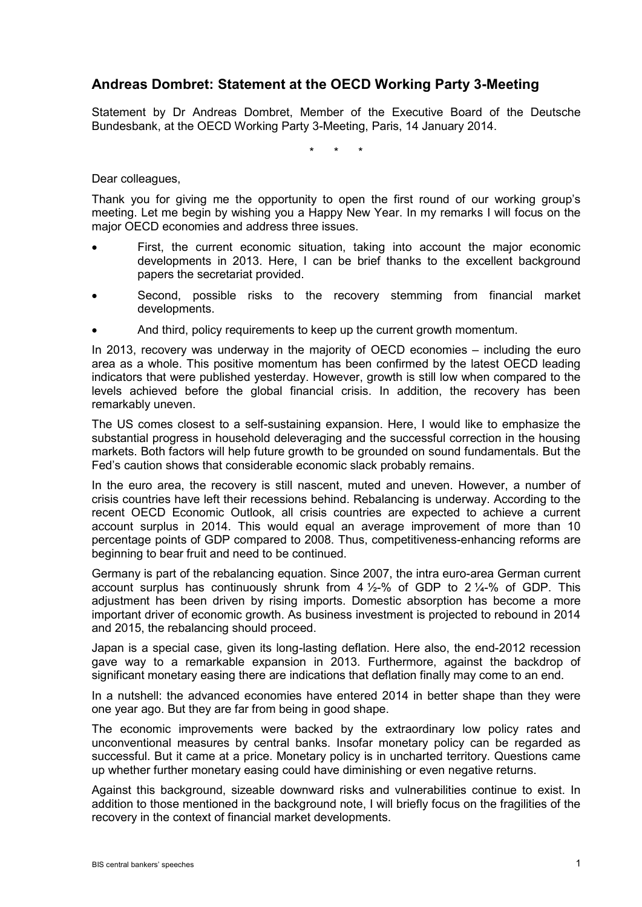## **Andreas Dombret: Statement at the OECD Working Party 3-Meeting**

Statement by Dr Andreas Dombret, Member of the Executive Board of the Deutsche Bundesbank, at the OECD Working Party 3-Meeting, Paris, 14 January 2014.

\* \* \*

Dear colleagues,

Thank you for giving me the opportunity to open the first round of our working group's meeting. Let me begin by wishing you a Happy New Year. In my remarks I will focus on the major OECD economies and address three issues.

- First, the current economic situation, taking into account the major economic developments in 2013. Here, I can be brief thanks to the excellent background papers the secretariat provided.
- Second, possible risks to the recovery stemming from financial market developments.
- And third, policy requirements to keep up the current growth momentum.

In 2013, recovery was underway in the majority of OECD economies – including the euro area as a whole. This positive momentum has been confirmed by the latest OECD leading indicators that were published yesterday. However, growth is still low when compared to the levels achieved before the global financial crisis. In addition, the recovery has been remarkably uneven.

The US comes closest to a self-sustaining expansion. Here, I would like to emphasize the substantial progress in household deleveraging and the successful correction in the housing markets. Both factors will help future growth to be grounded on sound fundamentals. But the Fed's caution shows that considerable economic slack probably remains.

In the euro area, the recovery is still nascent, muted and uneven. However, a number of crisis countries have left their recessions behind. Rebalancing is underway. According to the recent OECD Economic Outlook, all crisis countries are expected to achieve a current account surplus in 2014. This would equal an average improvement of more than 10 percentage points of GDP compared to 2008. Thus, competitiveness-enhancing reforms are beginning to bear fruit and need to be continued.

Germany is part of the rebalancing equation. Since 2007, the intra euro-area German current account surplus has continuously shrunk from  $4\frac{1}{2}\%$  of GDP to  $2\frac{1}{4}\%$  of GDP. This adjustment has been driven by rising imports. Domestic absorption has become a more important driver of economic growth. As business investment is projected to rebound in 2014 and 2015, the rebalancing should proceed.

Japan is a special case, given its long-lasting deflation. Here also, the end-2012 recession gave way to a remarkable expansion in 2013. Furthermore, against the backdrop of significant monetary easing there are indications that deflation finally may come to an end.

In a nutshell: the advanced economies have entered 2014 in better shape than they were one year ago. But they are far from being in good shape.

The economic improvements were backed by the extraordinary low policy rates and unconventional measures by central banks. Insofar monetary policy can be regarded as successful. But it came at a price. Monetary policy is in uncharted territory. Questions came up whether further monetary easing could have diminishing or even negative returns.

Against this background, sizeable downward risks and vulnerabilities continue to exist. In addition to those mentioned in the background note, I will briefly focus on the fragilities of the recovery in the context of financial market developments.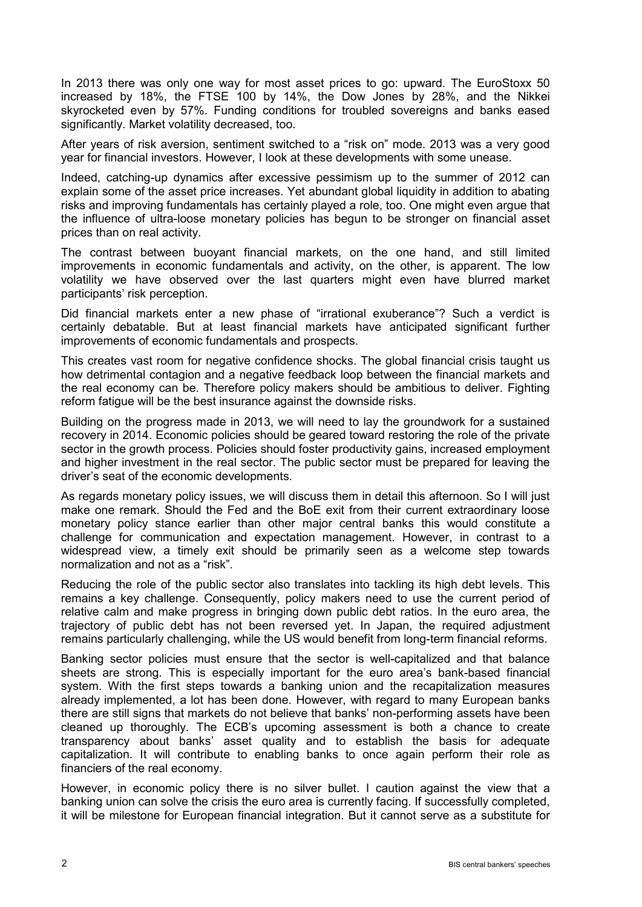In 2013 there was only one way for most asset prices to go: upward. The EuroStoxx 50 increased by 18%, the FTSE 100 by 14%, the Dow Jones by 28%, and the Nikkei skyrocketed even by 57%. Funding conditions for troubled sovereigns and banks eased significantly. Market volatility decreased, too.

After years of risk aversion, sentiment switched to a "risk on" mode. 2013 was a very good year for financial investors. However, I look at these developments with some unease.

Indeed, catching-up dynamics after excessive pessimism up to the summer of 2012 can explain some of the asset price increases. Yet abundant global liquidity in addition to abating risks and improving fundamentals has certainly played a role, too. One might even argue that the influence of ultra-loose monetary policies has begun to be stronger on financial asset prices than on real activity.

The contrast between buoyant financial markets, on the one hand, and still limited improvements in economic fundamentals and activity, on the other, is apparent. The low volatility we have observed over the last quarters might even have blurred market participants' risk perception.

Did financial markets enter a new phase of "irrational exuberance"? Such a verdict is certainly debatable. But at least financial markets have anticipated significant further improvements of economic fundamentals and prospects.

This creates vast room for negative confidence shocks. The global financial crisis taught us how detrimental contagion and a negative feedback loop between the financial markets and the real economy can be. Therefore policy makers should be ambitious to deliver. Fighting reform fatigue will be the best insurance against the downside risks.

Building on the progress made in 2013, we will need to lay the groundwork for a sustained recovery in 2014. Economic policies should be geared toward restoring the role of the private sector in the growth process. Policies should foster productivity gains, increased employment and higher investment in the real sector. The public sector must be prepared for leaving the driver's seat of the economic developments.

As regards monetary policy issues, we will discuss them in detail this afternoon. So I will just make one remark. Should the Fed and the BoE exit from their current extraordinary loose monetary policy stance earlier than other major central banks this would constitute a challenge for communication and expectation management. However, in contrast to a widespread view, a timely exit should be primarily seen as a welcome step towards normalization and not as a "risk".

Reducing the role of the public sector also translates into tackling its high debt levels. This remains a key challenge. Consequently, policy makers need to use the current period of relative calm and make progress in bringing down public debt ratios. In the euro area, the trajectory of public debt has not been reversed yet. In Japan, the required adjustment remains particularly challenging, while the US would benefit from long-term financial reforms.

Banking sector policies must ensure that the sector is well-capitalized and that balance sheets are strong. This is especially important for the euro area's bank-based financial system. With the first steps towards a banking union and the recapitalization measures already implemented, a lot has been done. However, with regard to many European banks there are still signs that markets do not believe that banks' non-performing assets have been cleaned up thoroughly. The ECB's upcoming assessment is both a chance to create transparency about banks' asset quality and to establish the basis for adequate capitalization. It will contribute to enabling banks to once again perform their role as financiers of the real economy.

However, in economic policy there is no silver bullet. I caution against the view that a banking union can solve the crisis the euro area is currently facing. If successfully completed, it will be milestone for European financial integration. But it cannot serve as a substitute for